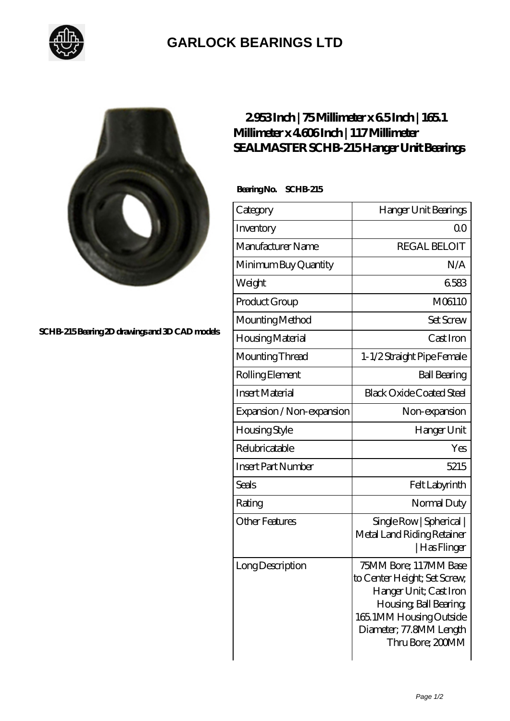

## **[GARLOCK BEARINGS LTD](https://m.letterstopriests.com)**



**[SCHB-215 Bearing 2D drawings and 3D CAD models](https://m.letterstopriests.com/pic-189222.html)**

## **[2.953 Inch | 75 Millimeter x 6.5 Inch | 165.1](https://m.letterstopriests.com/az-189222-sealmaster-schb-215-hanger-unit-bearings.html) [Millimeter x 4.606 Inch | 117 Millimeter](https://m.letterstopriests.com/az-189222-sealmaster-schb-215-hanger-unit-bearings.html) [SEALMASTER SCHB-215 Hanger Unit Bearings](https://m.letterstopriests.com/az-189222-sealmaster-schb-215-hanger-unit-bearings.html)**

 **Bearing No. SCHB-215**

| Category                  | Hanger Unit Bearings                                                                                                                                                                |
|---------------------------|-------------------------------------------------------------------------------------------------------------------------------------------------------------------------------------|
| Inventory                 | Q0                                                                                                                                                                                  |
| Manufacturer Name         | <b>REGAL BELOIT</b>                                                                                                                                                                 |
| Minimum Buy Quantity      | N/A                                                                                                                                                                                 |
| Weight                    | 6583                                                                                                                                                                                |
| Product Group             | M06110                                                                                                                                                                              |
| Mounting Method           | <b>Set Screw</b>                                                                                                                                                                    |
| Housing Material          | Cast Iron                                                                                                                                                                           |
| Mounting Thread           | 1-1/2 Straight Pipe Female                                                                                                                                                          |
| Rolling Element           | <b>Ball Bearing</b>                                                                                                                                                                 |
| <b>Insert Material</b>    | <b>Black Oxide Coated Steel</b>                                                                                                                                                     |
| Expansion / Non-expansion | Non-expansion                                                                                                                                                                       |
| Housing Style             | Hanger Unit                                                                                                                                                                         |
| Relubricatable            | Yes                                                                                                                                                                                 |
| <b>Insert Part Number</b> | 5215                                                                                                                                                                                |
| <b>Seals</b>              | Felt Labyrinth                                                                                                                                                                      |
| Rating                    | Normal Duty                                                                                                                                                                         |
| <b>Other Features</b>     | Single Row   Spherical  <br>Metal Land Riding Retainer<br> Has Flinger                                                                                                              |
| Long Description          | 75MM Bore; 117MM Base<br>to Center Height; Set Screw,<br>Hanger Unit; Cast Iron<br>Housing, Ball Bearing,<br>165.1MM Housing Outside<br>Diameter; 77.8MM Length<br>Thru Bore; 200MM |